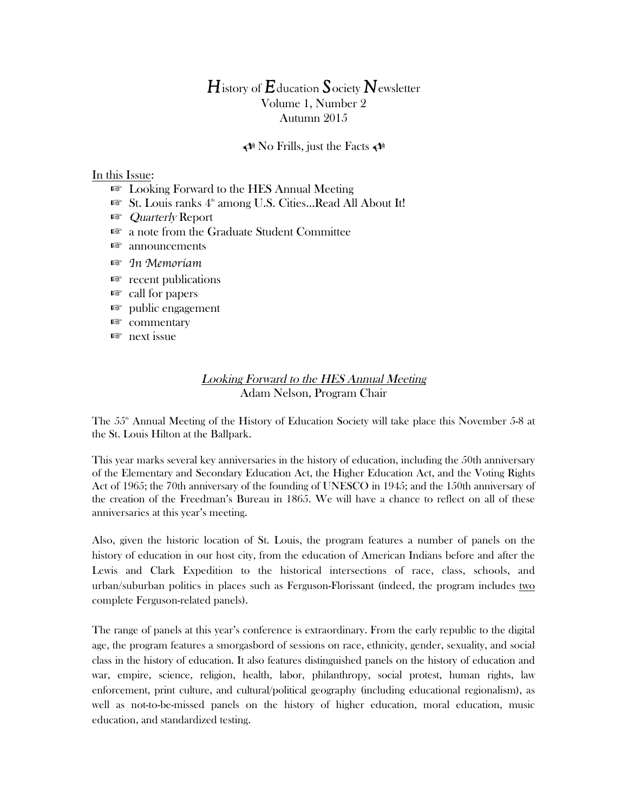# *H*istory of *E*ducation *S*ociety *N*ewsletter Volume 1, Number 2 Autumn 2015

### $\triangleleft$  No Frills, just the Facts  $\triangleleft$

#### In this Issue:

- ☞ Looking Forward to the HES Annual Meeting
- ☞ St. Louis ranks 4th among U.S. Cities…Read All About It!
- ☞ Quarterly Report
- ☞ a note from the Graduate Student Committee
- ☞ announcements
- ☞ *In Memoriam*
- ☞ recent publications
- ☞ call for papers
- ☞ public engagement
- ☞ commentary
- ☞ next issue

## Looking Forward to the HES Annual Meeting Adam Nelson, Program Chair

The 55<sup>th</sup> Annual Meeting of the History of Education Society will take place this November 5-8 at the St. Louis Hilton at the Ballpark.

This year marks several key anniversaries in the history of education, including the 50th anniversary of the Elementary and Secondary Education Act, the Higher Education Act, and the Voting Rights Act of 1965; the 70th anniversary of the founding of UNESCO in 1945; and the 150th anniversary of the creation of the Freedman's Bureau in 1865. We will have a chance to reflect on all of these anniversaries at this year's meeting.

Also, given the historic location of St. Louis, the program features a number of panels on the history of education in our host city, from the education of American Indians before and after the Lewis and Clark Expedition to the historical intersections of race, class, schools, and urban/suburban politics in places such as Ferguson-Florissant (indeed, the program includes two complete Ferguson-related panels).

The range of panels at this year's conference is extraordinary. From the early republic to the digital age, the program features a smorgasbord of sessions on race, ethnicity, gender, sexuality, and social class in the history of education. It also features distinguished panels on the history of education and war, empire, science, religion, health, labor, philanthropy, social protest, human rights, law enforcement, print culture, and cultural/political geography (including educational regionalism), as well as not-to-be-missed panels on the history of higher education, moral education, music education, and standardized testing.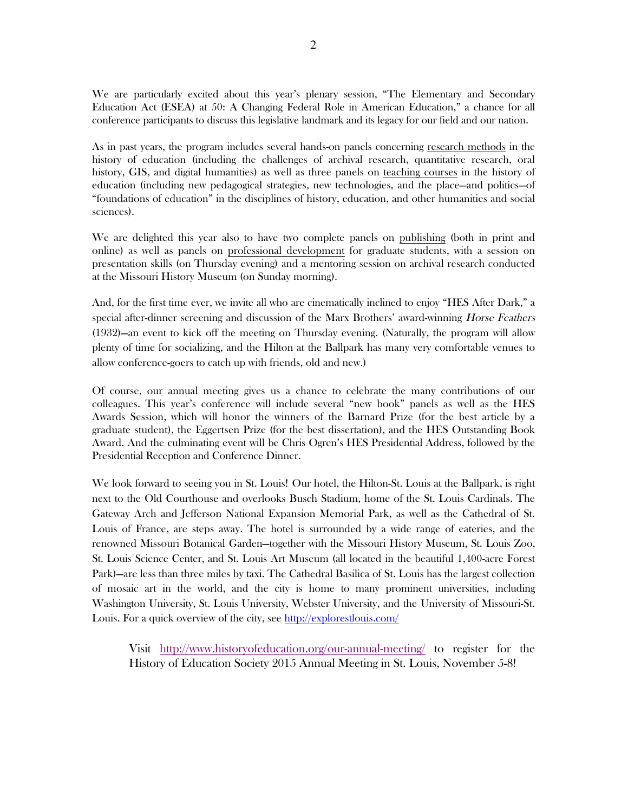We are particularly excited about this year's plenary session, "The Elementary and Secondary Education Act (ESEA) at 50: A Changing Federal Role in American Education," a chance for all conference participants to discuss this legislative landmark and its legacy for our field and our nation.

As in past years, the program includes several hands-on panels concerning research methods in the history of education (including the challenges of archival research, quantitative research, oral history, GIS, and digital humanities) as well as three panels on teaching courses in the history of education (including new pedagogical strategies, new technologies, and the place—and politics—of "foundations of education" in the disciplines of history, education, and other humanities and social sciences).

We are delighted this year also to have two complete panels on publishing (both in print and online) as well as panels on professional development for graduate students, with a session on presentation skills (on Thursday evening) and a mentoring session on archival research conducted at the Missouri History Museum (on Sunday morning).

And, for the first time ever, we invite all who are cinematically inclined to enjoy "HES After Dark," a special after-dinner screening and discussion of the Marx Brothers' award-winning *Horse Feathers* (1932)—an event to kick off the meeting on Thursday evening. (Naturally, the program will allow plenty of time for socializing, and the Hilton at the Ballpark has many very comfortable venues to allow conference-goers to catch up with friends, old and new.)

Of course, our annual meeting gives us a chance to celebrate the many contributions of our colleagues. This year's conference will include several "new book" panels as well as the HES Awards Session, which will honor the winners of the Barnard Prize (for the best article by a graduate student), the Eggertsen Prize (for the best dissertation), and the HES Outstanding Book Award. And the culminating event will be Chris Ogren's HES Presidential Address, followed by the Presidential Reception and Conference Dinner.

We look forward to seeing you in St. Louis! Our hotel, the Hilton-St. Louis at the Ballpark, is right next to the Old Courthouse and overlooks Busch Stadium, home of the St. Louis Cardinals. The Gateway Arch and Jefferson National Expansion Memorial Park, as well as the Cathedral of St. Louis of France, are steps away. The hotel is surrounded by a wide range of eateries, and the renowned Missouri Botanical Garden—together with the Missouri History Museum, St. Louis Zoo, St. Louis Science Center, and St. Louis Art Museum (all located in the beautiful 1,400-acre Forest Park)—are less than three miles by taxi. The Cathedral Basilica of St. Louis has the largest collection of mosaic art in the world, and the city is home to many prominent universities, including Washington University, St. Louis University, Webster University, and the University of Missouri-St. Louis. For a quick overview of the city, see http://explorestlouis.com/

Visit http://www.historyofeducation.org/our-annual-meeting/ to register for the History of Education Society 2015 Annual Meeting in St. Louis, November 5-8!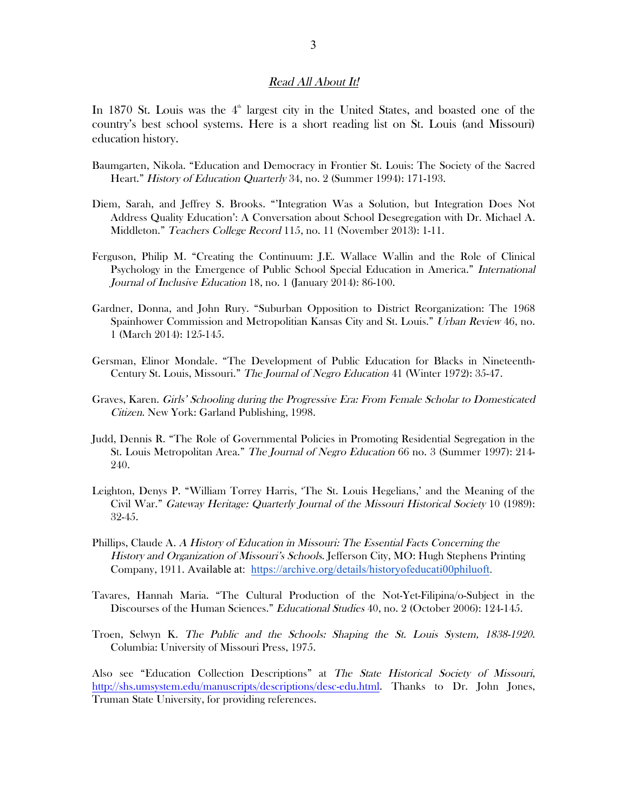#### Read All About It!

In 1870 St. Louis was the  $4^{\text{th}}$  largest city in the United States, and boasted one of the country's best school systems. Here is a short reading list on St. Louis (and Missouri) education history.

- Baumgarten, Nikola. "Education and Democracy in Frontier St. Louis: The Society of the Sacred Heart." History of Education Quarterly 34, no. 2 (Summer 1994): 171-193.
- Diem, Sarah, and Jeffrey S. Brooks. "'Integration Was a Solution, but Integration Does Not Address Quality Education': A Conversation about School Desegregation with Dr. Michael A. Middleton." Teachers College Record 115, no. 11 (November 2013): 1-11.
- Ferguson, Philip M. "Creating the Continuum: J.E. Wallace Wallin and the Role of Clinical Psychology in the Emergence of Public School Special Education in America." International Journal of Inclusive Education 18, no. 1 (January 2014): 86-100.
- Gardner, Donna, and John Rury. "Suburban Opposition to District Reorganization: The 1968 Spainhower Commission and Metropolitian Kansas City and St. Louis." Urban Review 46, no. 1 (March 2014): 125-145.
- Gersman, Elinor Mondale. "The Development of Public Education for Blacks in Nineteenth-Century St. Louis, Missouri." The Journal of Negro Education 41 (Winter 1972): 35-47.
- Graves, Karen. Girls' Schooling during the Progressive Era: From Female Scholar to Domesticated Citizen. New York: Garland Publishing, 1998.
- Judd, Dennis R. "The Role of Governmental Policies in Promoting Residential Segregation in the St. Louis Metropolitan Area." The Journal of Negro Education 66 no. 3 (Summer 1997): 214- 240.
- Leighton, Denys P. "William Torrey Harris, 'The St. Louis Hegelians,' and the Meaning of the Civil War." Gateway Heritage: Quarterly Journal of the Missouri Historical Society 10 (1989): 32-45.
- Phillips, Claude A. A History of Education in Missouri: The Essential Facts Concerning the History and Organization of Missouri's Schools. Jefferson City, MO: Hugh Stephens Printing Company, 1911. Available at: https://archive.org/details/historyofeducati00philuoft.
- Tavares, Hannah Maria. "The Cultural Production of the Not-Yet-Filipina/o-Subject in the Discourses of the Human Sciences." Educational Studies 40, no. 2 (October 2006): 124-145.
- Troen, Selwyn K. The Public and the Schools: Shaping the St. Louis System, 1838-1920. Columbia: University of Missouri Press, 1975.

Also see "Education Collection Descriptions" at The State Historical Society of Missouri, http://shs.umsystem.edu/manuscripts/descriptions/desc-edu.html. Thanks to Dr. John Jones, Truman State University, for providing references.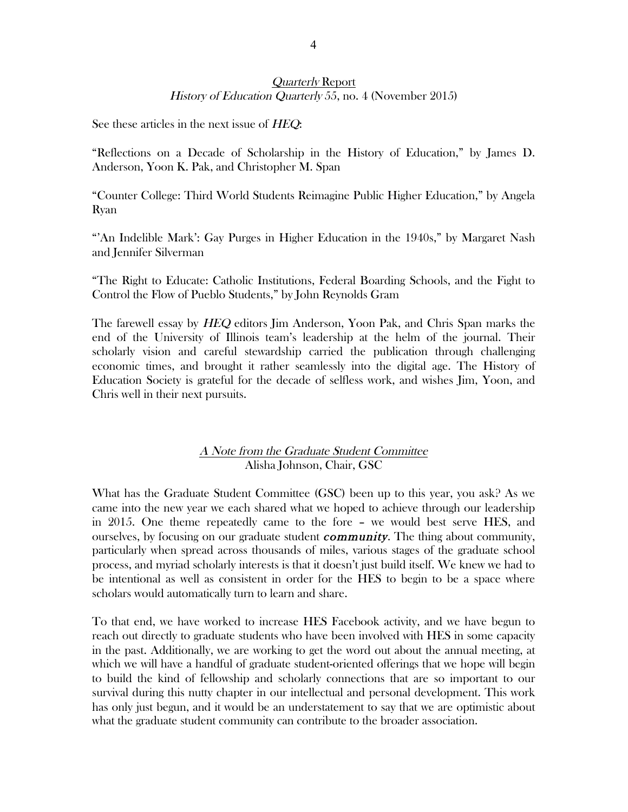## Quarterly Report History of Education Quarterly 55, no. 4 (November 2015)

See these articles in the next issue of HEQ:

"Reflections on a Decade of Scholarship in the History of Education," by James D. Anderson, Yoon K. Pak, and Christopher M. Span

"Counter College: Third World Students Reimagine Public Higher Education," by Angela Ryan

"'An Indelible Mark': Gay Purges in Higher Education in the 1940s," by Margaret Nash and Jennifer Silverman

"The Right to Educate: Catholic Institutions, Federal Boarding Schools, and the Fight to Control the Flow of Pueblo Students," by John Reynolds Gram

The farewell essay by HEQ editors Jim Anderson, Yoon Pak, and Chris Span marks the end of the University of Illinois team's leadership at the helm of the journal. Their scholarly vision and careful stewardship carried the publication through challenging economic times, and brought it rather seamlessly into the digital age. The History of Education Society is grateful for the decade of selfless work, and wishes Jim, Yoon, and Chris well in their next pursuits.

## A Note from the Graduate Student Committee Alisha Johnson, Chair, GSC

What has the Graduate Student Committee (GSC) been up to this year, you ask? As we came into the new year we each shared what we hoped to achieve through our leadership in 2015. One theme repeatedly came to the fore – we would best serve HES, and ourselves, by focusing on our graduate student *community*. The thing about community, particularly when spread across thousands of miles, various stages of the graduate school process, and myriad scholarly interests is that it doesn't just build itself. We knew we had to be intentional as well as consistent in order for the HES to begin to be a space where scholars would automatically turn to learn and share.

To that end, we have worked to increase HES Facebook activity, and we have begun to reach out directly to graduate students who have been involved with HES in some capacity in the past. Additionally, we are working to get the word out about the annual meeting, at which we will have a handful of graduate student-oriented offerings that we hope will begin to build the kind of fellowship and scholarly connections that are so important to our survival during this nutty chapter in our intellectual and personal development. This work has only just begun, and it would be an understatement to say that we are optimistic about what the graduate student community can contribute to the broader association.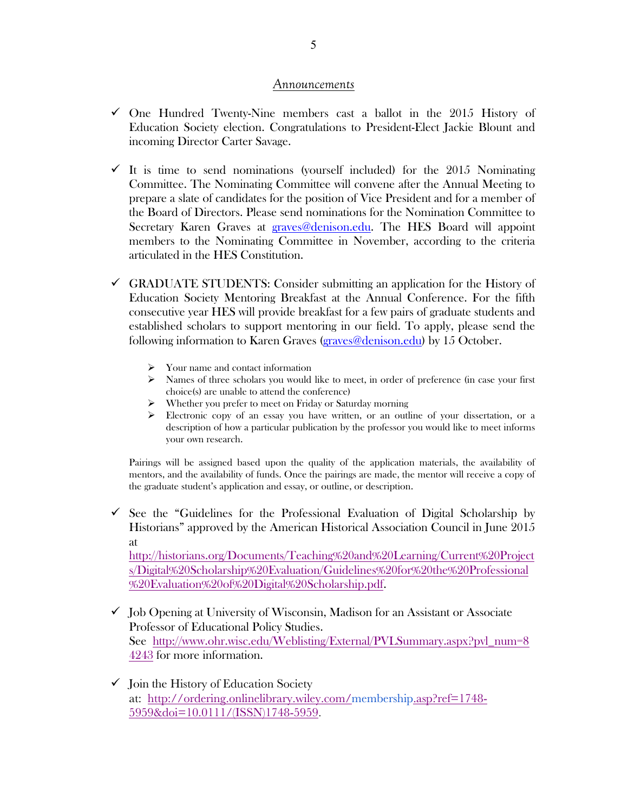### *Announcements*

- $\checkmark$  One Hundred Twenty-Nine members cast a ballot in the 2015 History of Education Society election. Congratulations to President-Elect Jackie Blount and incoming Director Carter Savage.
- $\checkmark$  It is time to send nominations (yourself included) for the 2015 Nominating Committee. The Nominating Committee will convene after the Annual Meeting to prepare a slate of candidates for the position of Vice President and for a member of the Board of Directors. Please send nominations for the Nomination Committee to Secretary Karen Graves at graves@denison.edu. The HES Board will appoint members to the Nominating Committee in November, according to the criteria articulated in the HES Constitution.
- $\checkmark$  GRADUATE STUDENTS: Consider submitting an application for the History of Education Society Mentoring Breakfast at the Annual Conference. For the fifth consecutive year HES will provide breakfast for a few pairs of graduate students and established scholars to support mentoring in our field. To apply, please send the following information to Karen Graves (graves@denison.edu) by 15 October.
	- $\triangleright$  Your name and contact information
	- $\triangleright$  Names of three scholars you would like to meet, in order of preference (in case your first choice(s) are unable to attend the conference)
	- $\triangleright$  Whether you prefer to meet on Friday or Saturday morning
	- $\triangleright$  Electronic copy of an essay you have written, or an outline of your dissertation, or a description of how a particular publication by the professor you would like to meet informs your own research.

Pairings will be assigned based upon the quality of the application materials, the availability of mentors, and the availability of funds. Once the pairings are made, the mentor will receive a copy of the graduate student's application and essay, or outline, or description.

 $\checkmark$  See the "Guidelines for the Professional Evaluation of Digital Scholarship by Historians" approved by the American Historical Association Council in June 2015 at http://historians.org/Documents/Teaching%20and%20Learning/Current%20Project s/Digital%20Scholarship%20Evaluation/Guidelines%20for%20the%20Professional

%20Evaluation%20of%20Digital%20Scholarship.pdf.

- $\checkmark$  Job Opening at University of Wisconsin, Madison for an Assistant or Associate Professor of Educational Policy Studies. See http://www.ohr.wisc.edu/Weblisting/External/PVLSummary.aspx?pvl\_num=8 4243 for more information.
- $\checkmark$  Join the History of Education Society at: http://ordering.onlinelibrary.wiley.com/membership.asp?ref=1748- 5959&doi=10.0111/(ISSN)1748-5959.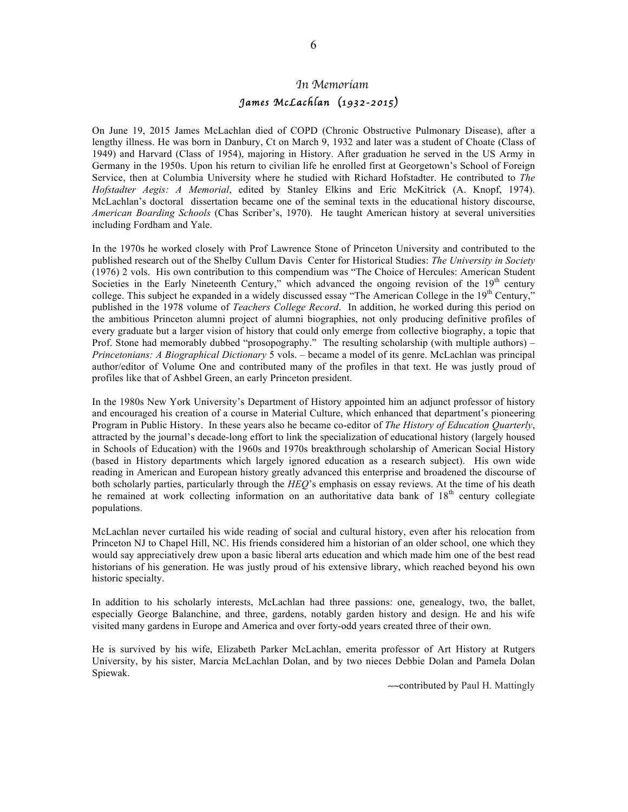# *In Memoriam James McLachlan* (*1932-2015*)

On June 19, 2015 James McLachlan died of COPD (Chronic Obstructive Pulmonary Disease), after a lengthy illness. He was born in Danbury, Ct on March 9, 1932 and later was a student of Choate (Class of 1949) and Harvard (Class of 1954), majoring in History. After graduation he served in the US Army in Germany in the 1950s. Upon his return to civilian life he enrolled first at Georgetown's School of Foreign Service, then at Columbia University where he studied with Richard Hofstadter. He contributed to *The Hofstadter Aegis: A Memorial*, edited by Stanley Elkins and Eric McKitrick (A. Knopf, 1974). McLachlan's doctoral dissertation became one of the seminal texts in the educational history discourse, *American Boarding Schools* (Chas Scriber's, 1970). He taught American history at several universities including Fordham and Yale.

In the 1970s he worked closely with Prof Lawrence Stone of Princeton University and contributed to the published research out of the Shelby Cullum Davis Center for Historical Studies: *The University in Society* (1976) 2 vols. His own contribution to this compendium was "The Choice of Hercules: American Student Societies in the Early Nineteenth Century," which advanced the ongoing revision of the 19<sup>th</sup> century college. This subject he expanded in a widely discussed essay "The American College in the 19<sup>th</sup> Century," published in the 1978 volume of *Teachers College Record*. In addition, he worked during this period on the ambitious Princeton alumni project of alumni biographies, not only producing definitive profiles of every graduate but a larger vision of history that could only emerge from collective biography, a topic that Prof. Stone had memorably dubbed "prosopography." The resulting scholarship (with multiple authors) – *Princetonians: A Biographical Dictionary* 5 vols. – became a model of its genre. McLachlan was principal author/editor of Volume One and contributed many of the profiles in that text. He was justly proud of profiles like that of Ashbel Green, an early Princeton president.

In the 1980s New York University's Department of History appointed him an adjunct professor of history and encouraged his creation of a course in Material Culture, which enhanced that department's pioneering Program in Public History. In these years also he became co-editor of *The History of Education Quarterly*, attracted by the journal's decade-long effort to link the specialization of educational history (largely housed in Schools of Education) with the 1960s and 1970s breakthrough scholarship of American Social History (based in History departments which largely ignored education as a research subject). His own wide reading in American and European history greatly advanced this enterprise and broadened the discourse of both scholarly parties, particularly through the *HEQ*'s emphasis on essay reviews. At the time of his death he remained at work collecting information on an authoritative data bank of 18<sup>th</sup> century collegiate populations.

McLachlan never curtailed his wide reading of social and cultural history, even after his relocation from Princeton NJ to Chapel Hill, NC. His friends considered him a historian of an older school, one which they would say appreciatively drew upon a basic liberal arts education and which made him one of the best read historians of his generation. He was justly proud of his extensive library, which reached beyond his own historic specialty.

In addition to his scholarly interests, McLachlan had three passions: one, genealogy, two, the ballet, especially George Balanchine, and three, gardens, notably garden history and design. He and his wife visited many gardens in Europe and America and over forty-odd years created three of their own.

He is survived by his wife, Elizabeth Parker McLachlan, emerita professor of Art History at Rutgers University, by his sister, Marcia McLachlan Dolan, and by two nieces Debbie Dolan and Pamela Dolan Spiewak.

∼∼contributed by Paul H. Mattingly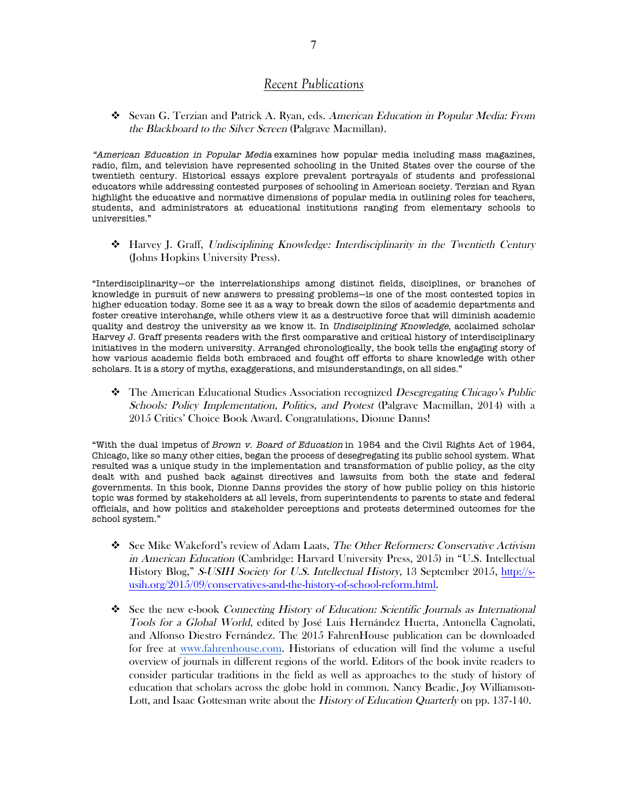#### *Recent Publications*

# Sevan G. Terzian and Patrick A. Ryan, eds. American Education in Popular Media: From the Blackboard to the Silver Screen (Palgrave Macmillan).

"American Education in Popular Media examines how popular media including mass magazines, radio, film, and television have represented schooling in the United States over the course of the twentieth century. Historical essays explore prevalent portrayals of students and professional educators while addressing contested purposes of schooling in American society. Terzian and Ryan highlight the educative and normative dimensions of popular media in outlining roles for teachers, students, and administrators at educational institutions ranging from elementary schools to universities."

# Harvey J. Graff, Undisciplining Knowledge: Interdisciplinarity in the Twentieth Century (Johns Hopkins University Press).

"Interdisciplinarity—or the interrelationships among distinct fields, disciplines, or branches of knowledge in pursuit of new answers to pressing problems—is one of the most contested topics in higher education today. Some see it as a way to break down the silos of academic departments and foster creative interchange, while others view it as a destructive force that will diminish academic quality and destroy the university as we know it. In Undisciplining Knowledge, acclaimed scholar Harvey J. Graff presents readers with the first comparative and critical history of interdisciplinary initiatives in the modern university. Arranged chronologically, the book tells the engaging story of how various academic fields both embraced and fought off efforts to share knowledge with other scholars. It is a story of myths, exaggerations, and misunderstandings, on all sides."

# The American Educational Studies Association recognized Desegregating Chicago's Public Schools: Policy Implementation, Politics, and Protest (Palgrave Macmillan, 2014) with a 2015 Critics' Choice Book Award. Congratulations, Dionne Danns!

"With the dual impetus of Brown v. Board of Education in 1954 and the Civil Rights Act of 1964, Chicago, like so many other cities, began the process of desegregating its public school system. What resulted was a unique study in the implementation and transformation of public policy, as the city dealt with and pushed back against directives and lawsuits from both the state and federal governments. In this book, Dionne Danns provides the story of how public policy on this historic topic was formed by stakeholders at all levels, from superintendents to parents to state and federal officials, and how politics and stakeholder perceptions and protests determined outcomes for the school system."

- $\clubsuit$  See Mike Wakeford's review of Adam Laats, The Other Reformers: Conservative Activism in American Education (Cambridge: Harvard University Press, 2015) in "U.S. Intellectual History Blog," S-USIH Society for U.S. Intellectual History, 13 September 2015, http://susih.org/2015/09/conservatives-and-the-history-of-school-reform.html.
- # See the new e-book Connecting History of Education: Scientific Journals as International Tools for a Global World, edited by José Luis Hernández Huerta, Antonella Cagnolati, and Alfonso Diestro Fernández. The 2015 FahrenHouse publication can be downloaded for free at www.fahrenhouse.com. Historians of education will find the volume a useful overview of journals in different regions of the world. Editors of the book invite readers to consider particular traditions in the field as well as approaches to the study of history of education that scholars across the globe hold in common. Nancy Beadie, Joy Williamson-Lott, and Isaac Gottesman write about the *History of Education Quarterly* on pp. 137-140.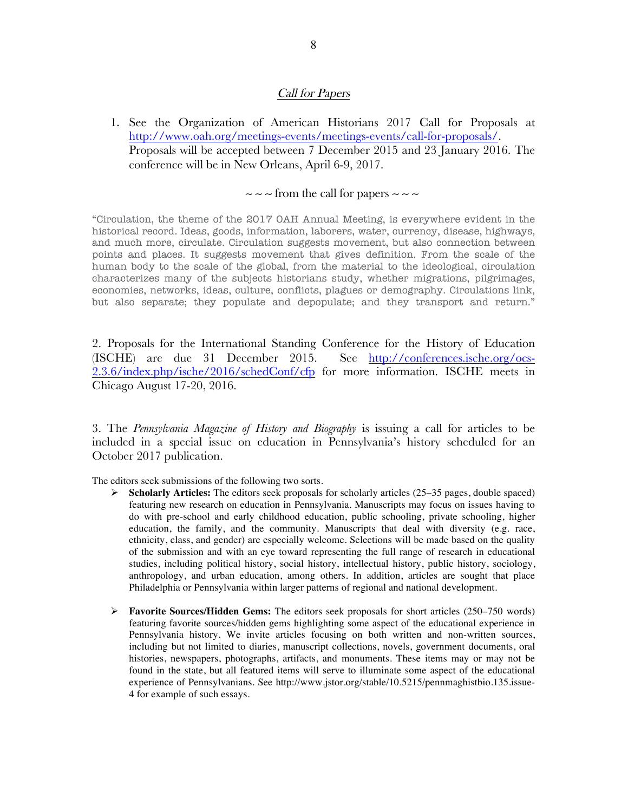#### Call for Papers

1. See the Organization of American Historians 2017 Call for Proposals at http://www.oah.org/meetings-events/meetings-events/call-for-proposals/. Proposals will be accepted between 7 December 2015 and 23 January 2016. The conference will be in New Orleans, April 6-9, 2017.

#### ∼ ∼ ∼ from the call for papers ∼ ∼ ∼

"Circulation, the theme of the 2017 OAH Annual Meeting, is everywhere evident in the historical record. Ideas, goods, information, laborers, water, currency, disease, highways, and much more, circulate. Circulation suggests movement, but also connection between points and places. It suggests movement that gives definition. From the scale of the human body to the scale of the global, from the material to the ideological, circulation characterizes many of the subjects historians study, whether migrations, pilgrimages, economies, networks, ideas, culture, conflicts, plagues or demography. Circulations link, but also separate; they populate and depopulate; and they transport and return."

2. Proposals for the International Standing Conference for the History of Education (ISCHE) are due 31 December 2015. See http://conferences.ische.org/ocs-2.3.6/index.php/ische/2016/schedConf/cfp for more information. ISCHE meets in Chicago August 17-20, 2016.

3. The *Pennsylvania Magazine of History and Biography* is issuing a call for articles to be included in a special issue on education in Pennsylvania's history scheduled for an October 2017 publication.

The editors seek submissions of the following two sorts.

- " **Scholarly Articles:** The editors seek proposals for scholarly articles (25–35 pages, double spaced) featuring new research on education in Pennsylvania. Manuscripts may focus on issues having to do with pre-school and early childhood education, public schooling, private schooling, higher education, the family, and the community. Manuscripts that deal with diversity (e.g. race, ethnicity, class, and gender) are especially welcome. Selections will be made based on the quality of the submission and with an eye toward representing the full range of research in educational studies, including political history, social history, intellectual history, public history, sociology, anthropology, and urban education, among others. In addition, articles are sought that place Philadelphia or Pennsylvania within larger patterns of regional and national development.
- **► Favorite Sources/Hidden Gems:** The editors seek proposals for short articles (250–750 words) featuring favorite sources/hidden gems highlighting some aspect of the educational experience in Pennsylvania history. We invite articles focusing on both written and non-written sources, including but not limited to diaries, manuscript collections, novels, government documents, oral histories, newspapers, photographs, artifacts, and monuments. These items may or may not be found in the state, but all featured items will serve to illuminate some aspect of the educational experience of Pennsylvanians. See http://www.jstor.org/stable/10.5215/pennmaghistbio.135.issue-4 for example of such essays.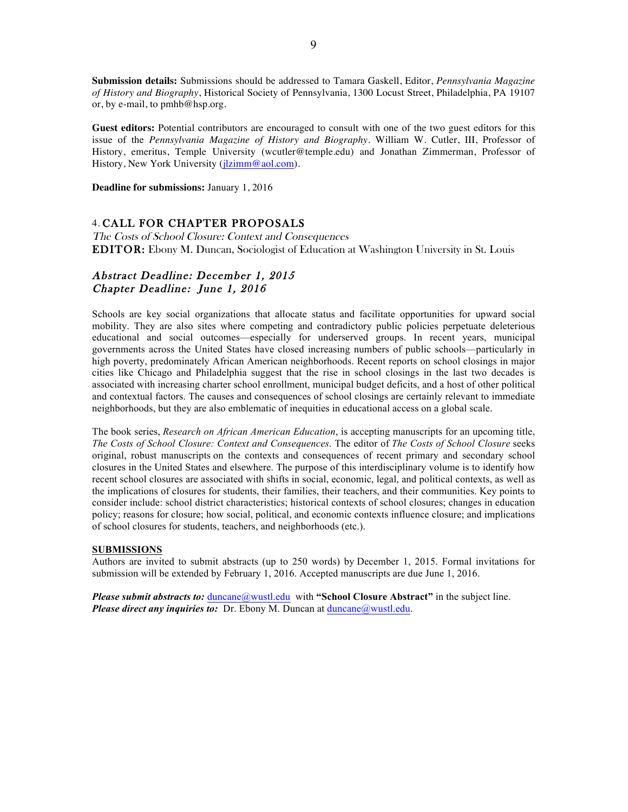**Submission details:** Submissions should be addressed to Tamara Gaskell, Editor, *Pennsylvania Magazine of History and Biography*, Historical Society of Pennsylvania, 1300 Locust Street, Philadelphia, PA 19107 or, by e-mail, to pmhb@hsp.org.

**Guest editors:** Potential contributors are encouraged to consult with one of the two guest editors for this issue of the *Pennsylvania Magazine of History and Biography*. William W. Cutler, III, Professor of History, emeritus, Temple University (wcutler@temple.edu) and Jonathan Zimmerman, Professor of History, New York University (jlzimm@aol.com).

**Deadline for submissions:** January 1, 2016

#### 4. CALL FOR CHAPTER PROPOSALS

The Costs of School Closure: Context and Consequences EDITOR: Ebony M. Duncan, Sociologist of Education at Washington University in St. Louis

#### Abstract Deadline: December 1, 2015 Chapter Deadline: June 1, 2016

Schools are key social organizations that allocate status and facilitate opportunities for upward social mobility. They are also sites where competing and contradictory public policies perpetuate deleterious educational and social outcomes—especially for underserved groups. In recent years, municipal governments across the United States have closed increasing numbers of public schools—particularly in high poverty, predominately African American neighborhoods. Recent reports on school closings in major cities like Chicago and Philadelphia suggest that the rise in school closings in the last two decades is associated with increasing charter school enrollment, municipal budget deficits, and a host of other political and contextual factors. The causes and consequences of school closings are certainly relevant to immediate neighborhoods, but they are also emblematic of inequities in educational access on a global scale.

The book series, *Research on African American Education*, is accepting manuscripts for an upcoming title, *The Costs of School Closure: Context and Consequences*. The editor of *The Costs of School Closure* seeks original, robust manuscripts on the contexts and consequences of recent primary and secondary school closures in the United States and elsewhere. The purpose of this interdisciplinary volume is to identify how recent school closures are associated with shifts in social, economic, legal, and political contexts, as well as the implications of closures for students, their families, their teachers, and their communities. Key points to consider include: school district characteristics; historical contexts of school closures; changes in education policy; reasons for closure; how social, political, and economic contexts influence closure; and implications of school closures for students, teachers, and neighborhoods (etc.).

#### **SUBMISSIONS**

Authors are invited to submit abstracts (up to 250 words) by December 1, 2015. Formal invitations for submission will be extended by February 1, 2016. Accepted manuscripts are due June 1, 2016.

*Please submit abstracts to:* duncane@wustl.eduwith **"School Closure Abstract"** in the subject line. *Please direct any inquiries to:* Dr. Ebony M. Duncan at duncane@wustl.edu.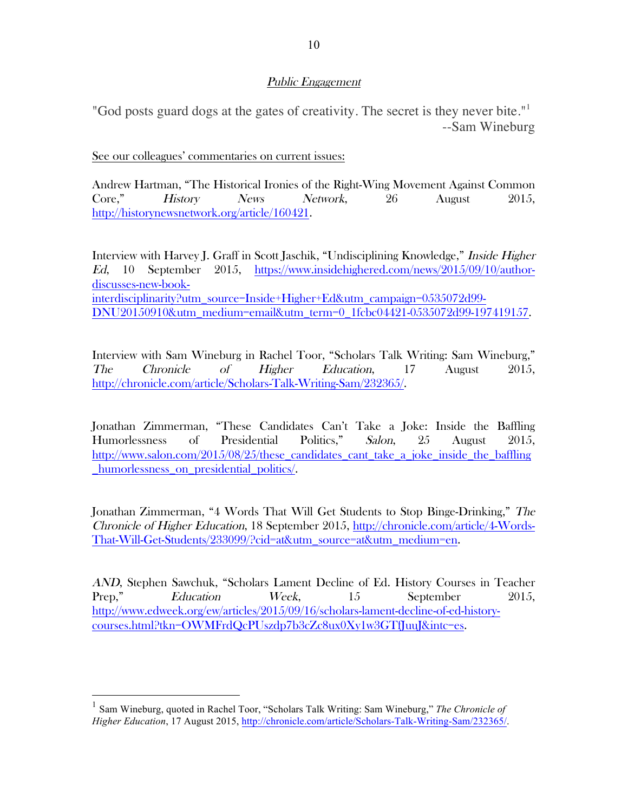## Public Engagement

"God posts guard dogs at the gates of creativity. The secret is they never bite."<sup>1</sup> --Sam Wineburg

## See our colleagues' commentaries on current issues:

Andrew Hartman, "The Historical Ironies of the Right-Wing Movement Against Common Core," History News Network, 26 August 2015, http://historynewsnetwork.org/article/160421.

Interview with Harvey J. Graff in Scott Jaschik, "Undisciplining Knowledge," Inside Higher Ed, 10 September 2015, https://www.insidehighered.com/news/2015/09/10/authordiscusses-new-bookinterdisciplinarity?utm\_source=Inside+Higher+Ed&utm\_campaign=0535072d99- DNU20150910&utm\_medium=email&utm\_term=0\_1fcbc04421-0535072d99-197419157.

Interview with Sam Wineburg in Rachel Toor, "Scholars Talk Writing: Sam Wineburg," The Chronicle of Higher Education, 17 August 2015, http://chronicle.com/article/Scholars-Talk-Writing-Sam/232365/.

Jonathan Zimmerman, "These Candidates Can't Take a Joke: Inside the Baffling Humorlessness of Presidential Politics," Salon, 25 August 2015, http://www.salon.com/2015/08/25/these candidates cant take a joke inside the baffling \_humorlessness\_on\_presidential\_politics/.

Jonathan Zimmerman, "4 Words That Will Get Students to Stop Binge-Drinking," The Chronicle of Higher Education, 18 September 2015, http://chronicle.com/article/4-Words-That-Will-Get-Students/233099/?cid=at&utm\_source=at&utm\_medium=en.

AND, Stephen Sawchuk, "Scholars Lament Decline of Ed. History Courses in Teacher Prep," Education Week, 15 September 2015, http://www.edweek.org/ew/articles/2015/09/16/scholars-lament-decline-of-ed-historycourses.html?tkn=OWMFrdQcPUszdp7b3cZc8ux0Xy1w3GTfJuuJ&intc=es.

 <sup>1</sup> Sam Wineburg, quoted in Rachel Toor, "Scholars Talk Writing: Sam Wineburg," *The Chronicle of Higher Education*, 17 August 2015, http://chronicle.com/article/Scholars-Talk-Writing-Sam/232365/.